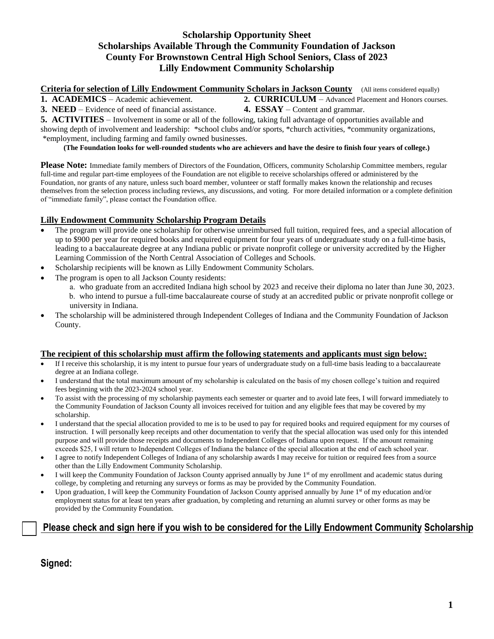## **Scholarship Opportunity Sheet Scholarships Available Through the Community Foundation of Jackson County For Brownstown Central High School Seniors, Class of 2023 Lilly Endowment Community Scholarship**

**Criteria for selection of Lilly Endowment Community Scholars in Jackson County** (All items considered equally)

**1. ACADEMICS** – Academic achievement. **2. CURRICULUM** – Advanced Placement and Honors courses. **3. NEED** – Evidence of need of financial assistance. **4. ESSAY** – Content and grammar.

**5. ACTIVITIES** – Involvement in some or all of the following, taking full advantage of opportunities available and

showing depth of involvement and leadership: \*school clubs and/or sports, \*church activities, \*community organizations, \*employment, including farming and family owned businesses.

**(The Foundation looks for well-rounded students who are achievers and have the desire to finish four years of college.)**

**Please Note:** Immediate family members of Directors of the Foundation, Officers, community Scholarship Committee members, regular full-time and regular part-time employees of the Foundation are not eligible to receive scholarships offered or administered by the Foundation, nor grants of any nature, unless such board member, volunteer or staff formally makes known the relationship and recuses themselves from the selection process including reviews, any discussions, and voting. For more detailed information or a complete definition of "immediate family", please contact the Foundation office.

## **Lilly Endowment Community Scholarship Program Details**

- The program will provide one scholarship for otherwise unreimbursed full tuition, required fees, and a special allocation of up to \$900 per year for required books and required equipment for four years of undergraduate study on a full-time basis, leading to a baccalaureate degree at any Indiana public or private nonprofit college or university accredited by the Higher Learning Commission of the North Central Association of Colleges and Schools.
- Scholarship recipients will be known as Lilly Endowment Community Scholars.
- The program is open to all Jackson County residents:
	- a. who graduate from an accredited Indiana high school by 2023 and receive their diploma no later than June 30, 2023. b. who intend to pursue a full-time baccalaureate course of study at an accredited public or private nonprofit college or university in Indiana.
- The scholarship will be administered through Independent Colleges of Indiana and the Community Foundation of Jackson County.

#### **The recipient of this scholarship must affirm the following statements and applicants must sign below:**

- If I receive this scholarship, it is my intent to pursue four years of undergraduate study on a full-time basis leading to a baccalaureate degree at an Indiana college.
- I understand that the total maximum amount of my scholarship is calculated on the basis of my chosen college's tuition and required fees beginning with the 2023-2024 school year.
- To assist with the processing of my scholarship payments each semester or quarter and to avoid late fees, I will forward immediately to the Community Foundation of Jackson County all invoices received for tuition and any eligible fees that may be covered by my scholarship.
- I understand that the special allocation provided to me is to be used to pay for required books and required equipment for my courses of instruction. I will personally keep receipts and other documentation to verify that the special allocation was used only for this intended purpose and will provide those receipts and documents to Independent Colleges of Indiana upon request. If the amount remaining exceeds \$25, I will return to Independent Colleges of Indiana the balance of the special allocation at the end of each school year.
- I agree to notify Independent Colleges of Indiana of any scholarship awards I may receive for tuition or required fees from a source other than the Lilly Endowment Community Scholarship.
- I will keep the Community Foundation of Jackson County apprised annually by June 1<sup>st</sup> of my enrollment and academic status during college, by completing and returning any surveys or forms as may be provided by the Community Foundation.
- Upon graduation, I will keep the Community Foundation of Jackson County apprised annually by June 1<sup>st</sup> of my education and/or employment status for at least ten years after graduation, by completing and returning an alumni survey or other forms as may be provided by the Community Foundation.

# **Please check and sign here if you wish to be considered for the Lilly Endowment Community Scholarship**

**Signed:**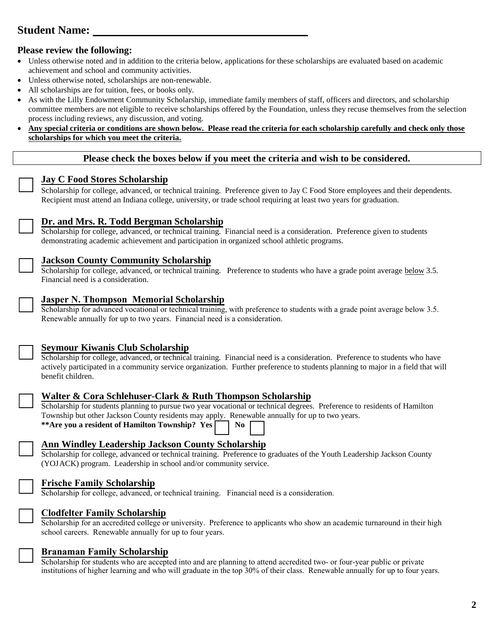# **Student Name:**

### **Please review the following:**

- Unless otherwise noted and in addition to the criteria below, applications for these scholarships are evaluated based on academic achievement and school and community activities.
- Unless otherwise noted, scholarships are non-renewable.
- All scholarships are for tuition, fees, or books only.
- As with the Lilly Endowment Community Scholarship, immediate family members of staff, officers and directors, and scholarship committee members are not eligible to receive scholarships offered by the Foundation, unless they recuse themselves from the selection process including reviews, any discussion, and voting.
- **Any special criteria or conditions are shown below. Please read the criteria for each scholarship carefully and check only those scholarships for which you meet the criteria.**

#### **Please check the boxes below if you meet the criteria and wish to be considered.**

#### **Jay C Food Stores Scholarship**

Scholarship for college, advanced, or technical training. Preference given to Jay C Food Store employees and their dependents. Recipient must attend an Indiana college, university, or trade school requiring at least two years for graduation.

| í |
|---|
|   |
|   |
|   |

#### **Dr. and Mrs. R. Todd Bergman Scholarship**

Scholarship for college, advanced, or technical training. Financial need is a consideration. Preference given to students demonstrating academic achievement and participation in organized school athletic programs.

#### **Jackson County Community Scholarship**

Scholarship for college, advanced, or technical training. Preference to students who have a grade point average below 3.5. Financial need is a consideration.

#### **Jasper N. Thompson Memorial Scholarship**

Scholarship for advanced vocational or technical training, with preference to students with a grade point average below 3.5. Renewable annually for up to two years. Financial need is a consideration.

|  | ۰ |  |
|--|---|--|
|  |   |  |
|  |   |  |
|  |   |  |

## **Seymour Kiwanis Club Scholarship**

Scholarship for college, advanced, or technical training. Financial need is a consideration. Preference to students who have actively participated in a community service organization. Further preference to students planning to major in a field that will benefit children.

## **Walter & Cora Schlehuser-Clark & Ruth Thompson Scholarship**

Scholarship for students planning to pursue two year vocational or technical degrees. Preference to residents of Hamilton Township but other Jackson County residents may apply. Renewable annually for up to two years. \*\*Are you a resident of Hamilton Township? Yes \Resqrament No

## **Ann Windley Leadership Jackson County Scholarship**

Scholarship for college, advanced or technical training. Preference to graduates of the Youth Leadership Jackson County (YOJACK) program. Leadership in school and/or community service.

## **Frische Family Scholarship**

Scholarship for college, advanced, or technical training. Financial need is a consideration.

## **Clodfelter Family Scholarship**

Scholarship for an accredited college or university. Preference to applicants who show an academic turnaround in their high school careers. Renewable annually for up to four years.



#### **Branaman Family Scholarship**

Scholarship for students who are accepted into and are planning to attend accredited two- or four-year public or private institutions of higher learning and who will graduate in the top 30% of their class. Renewable annually for up to four years.